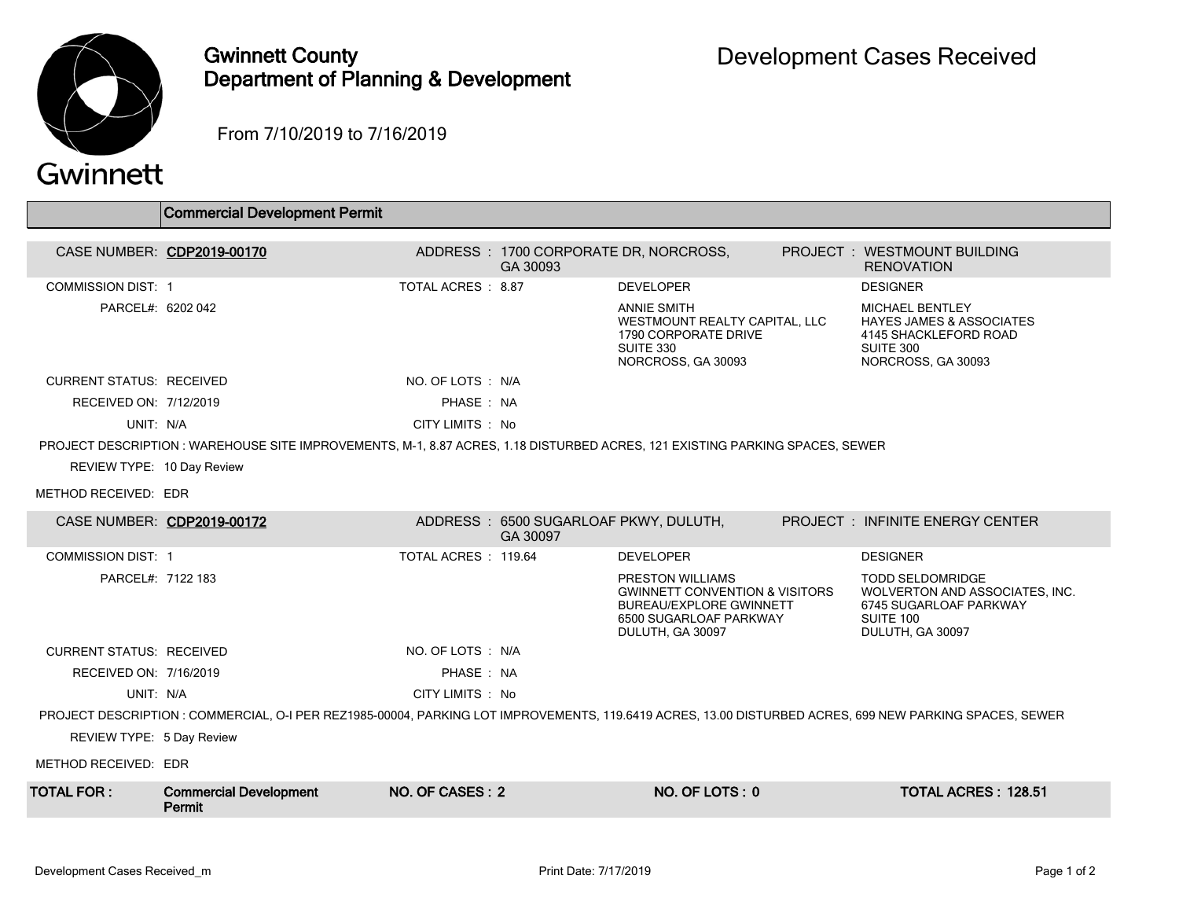

## Gwinnett County Department of Planning & Development

From 7/10/2019 to 7/16/2019

|  | Gwinnett |
|--|----------|
|  |          |
|  |          |

|                                                                                                                                                         | Commercial Development Permit                                                                                                |                     |                                                   |                                                                                                                                               |  |                                                                                                                           |  |  |
|---------------------------------------------------------------------------------------------------------------------------------------------------------|------------------------------------------------------------------------------------------------------------------------------|---------------------|---------------------------------------------------|-----------------------------------------------------------------------------------------------------------------------------------------------|--|---------------------------------------------------------------------------------------------------------------------------|--|--|
|                                                                                                                                                         | CASE NUMBER: CDP2019-00170                                                                                                   |                     | ADDRESS: 1700 CORPORATE DR, NORCROSS,<br>GA 30093 |                                                                                                                                               |  | PROJECT: WESTMOUNT BUILDING<br><b>RENOVATION</b>                                                                          |  |  |
| <b>COMMISSION DIST: 1</b>                                                                                                                               |                                                                                                                              | TOTAL ACRES : 8.87  |                                                   | <b>DEVELOPER</b>                                                                                                                              |  | <b>DESIGNER</b>                                                                                                           |  |  |
| PARCEL#: 6202 042                                                                                                                                       |                                                                                                                              |                     |                                                   | <b>ANNIE SMITH</b><br>WESTMOUNT REALTY CAPITAL, LLC<br>1790 CORPORATE DRIVE<br>SUITE 330<br>NORCROSS, GA 30093                                |  | <b>MICHAEL BENTLEY</b><br><b>HAYES JAMES &amp; ASSOCIATES</b><br>4145 SHACKLEFORD ROAD<br>SUITE 300<br>NORCROSS, GA 30093 |  |  |
| <b>CURRENT STATUS: RECEIVED</b>                                                                                                                         |                                                                                                                              | NO. OF LOTS : N/A   |                                                   |                                                                                                                                               |  |                                                                                                                           |  |  |
| RECEIVED ON: 7/12/2019                                                                                                                                  |                                                                                                                              | PHASE: NA           |                                                   |                                                                                                                                               |  |                                                                                                                           |  |  |
| UNIT: N/A                                                                                                                                               |                                                                                                                              | CITY LIMITS : No    |                                                   |                                                                                                                                               |  |                                                                                                                           |  |  |
|                                                                                                                                                         | PROJECT DESCRIPTION : WAREHOUSE SITE IMPROVEMENTS, M-1, 8.87 ACRES, 1.18 DISTURBED ACRES, 121 EXISTING PARKING SPACES, SEWER |                     |                                                   |                                                                                                                                               |  |                                                                                                                           |  |  |
| REVIEW TYPE: 10 Day Review                                                                                                                              |                                                                                                                              |                     |                                                   |                                                                                                                                               |  |                                                                                                                           |  |  |
| METHOD RECEIVED: EDR                                                                                                                                    |                                                                                                                              |                     |                                                   |                                                                                                                                               |  |                                                                                                                           |  |  |
| CASE NUMBER: CDP2019-00172                                                                                                                              |                                                                                                                              |                     | ADDRESS: 6500 SUGARLOAF PKWY, DULUTH,<br>GA 30097 |                                                                                                                                               |  | <b>PROJECT : INFINITE ENERGY CENTER</b>                                                                                   |  |  |
| <b>COMMISSION DIST: 1</b>                                                                                                                               |                                                                                                                              | TOTAL ACRES: 119.64 |                                                   | <b>DEVELOPER</b>                                                                                                                              |  | <b>DESIGNER</b>                                                                                                           |  |  |
| PARCEL#: 7122 183                                                                                                                                       |                                                                                                                              |                     |                                                   | PRESTON WILLIAMS<br><b>GWINNETT CONVENTION &amp; VISITORS</b><br><b>BUREAU/EXPLORE GWINNETT</b><br>6500 SUGARLOAF PARKWAY<br>DULUTH, GA 30097 |  | <b>TODD SELDOMRIDGE</b><br>WOLVERTON AND ASSOCIATES, INC.<br>6745 SUGARLOAF PARKWAY<br>SUITE 100<br>DULUTH, GA 30097      |  |  |
| <b>CURRENT STATUS: RECEIVED</b>                                                                                                                         |                                                                                                                              | NO. OF LOTS : N/A   |                                                   |                                                                                                                                               |  |                                                                                                                           |  |  |
| RECEIVED ON: 7/16/2019                                                                                                                                  |                                                                                                                              | PHASE: NA           |                                                   |                                                                                                                                               |  |                                                                                                                           |  |  |
| UNIT: N/A                                                                                                                                               |                                                                                                                              | CITY LIMITS : No    |                                                   |                                                                                                                                               |  |                                                                                                                           |  |  |
| PROJECT DESCRIPTION : COMMERCIAL, O-I PER REZ1985-00004, PARKING LOT IMPROVEMENTS, 119.6419 ACRES, 13.00 DISTURBED ACRES, 699 NEW PARKING SPACES, SEWER |                                                                                                                              |                     |                                                   |                                                                                                                                               |  |                                                                                                                           |  |  |
| REVIEW TYPE: 5 Day Review                                                                                                                               |                                                                                                                              |                     |                                                   |                                                                                                                                               |  |                                                                                                                           |  |  |
| METHOD RECEIVED: EDR                                                                                                                                    |                                                                                                                              |                     |                                                   |                                                                                                                                               |  |                                                                                                                           |  |  |
| <b>TOTAL FOR:</b>                                                                                                                                       | <b>Commercial Development</b><br>Permit                                                                                      | NO. OF CASES: 2     |                                                   | NO. OF LOTS: 0                                                                                                                                |  | <b>TOTAL ACRES: 128.51</b>                                                                                                |  |  |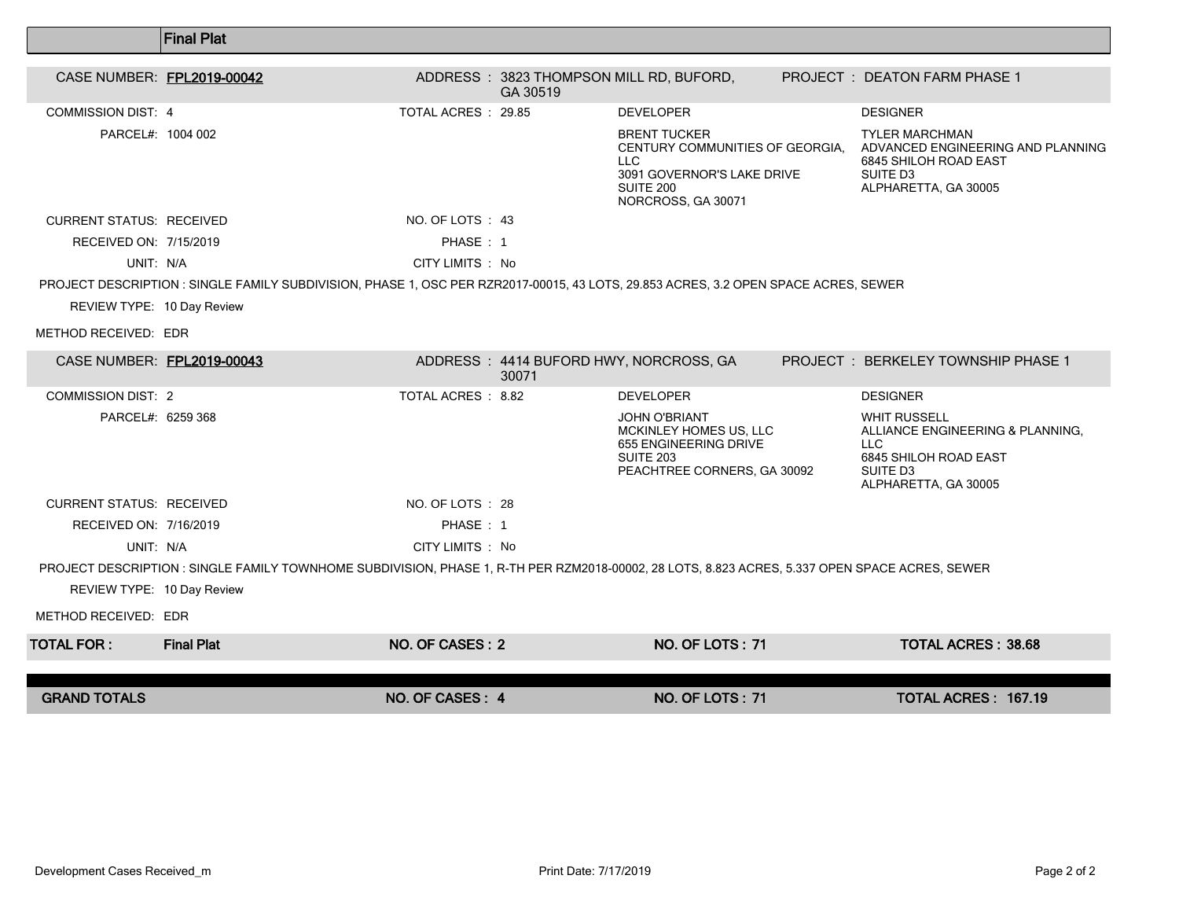|                                                                                                                                     | <b>Final Plat</b>                                                                                                                              |                    |          |                                                                                                                                       |  |                                                                                                                                          |  |  |  |
|-------------------------------------------------------------------------------------------------------------------------------------|------------------------------------------------------------------------------------------------------------------------------------------------|--------------------|----------|---------------------------------------------------------------------------------------------------------------------------------------|--|------------------------------------------------------------------------------------------------------------------------------------------|--|--|--|
| CASE NUMBER: FPL2019-00042                                                                                                          |                                                                                                                                                |                    | GA 30519 | ADDRESS: 3823 THOMPSON MILL RD, BUFORD,                                                                                               |  | <b>PROJECT : DEATON FARM PHASE 1</b>                                                                                                     |  |  |  |
| <b>COMMISSION DIST: 4</b>                                                                                                           |                                                                                                                                                | TOTAL ACRES: 29.85 |          | <b>DEVELOPER</b>                                                                                                                      |  | <b>DESIGNER</b>                                                                                                                          |  |  |  |
| PARCEL#: 1004 002                                                                                                                   |                                                                                                                                                |                    |          | <b>BRENT TUCKER</b><br>CENTURY COMMUNITIES OF GEORGIA.<br><b>LLC</b><br>3091 GOVERNOR'S LAKE DRIVE<br>SUITE 200<br>NORCROSS, GA 30071 |  | <b>TYLER MARCHMAN</b><br>ADVANCED ENGINEERING AND PLANNING<br>6845 SHILOH ROAD EAST<br>SUITE D <sub>3</sub><br>ALPHARETTA, GA 30005      |  |  |  |
| <b>CURRENT STATUS: RECEIVED</b>                                                                                                     |                                                                                                                                                | NO. OF LOTS : 43   |          |                                                                                                                                       |  |                                                                                                                                          |  |  |  |
| RECEIVED ON: 7/15/2019                                                                                                              |                                                                                                                                                | PHASE: 1           |          |                                                                                                                                       |  |                                                                                                                                          |  |  |  |
| UNIT: N/A                                                                                                                           |                                                                                                                                                | CITY LIMITS : No   |          |                                                                                                                                       |  |                                                                                                                                          |  |  |  |
| PROJECT DESCRIPTION : SINGLE FAMILY SUBDIVISION, PHASE 1, OSC PER RZR2017-00015, 43 LOTS, 29.853 ACRES, 3.2 OPEN SPACE ACRES, SEWER |                                                                                                                                                |                    |          |                                                                                                                                       |  |                                                                                                                                          |  |  |  |
| REVIEW TYPE: 10 Day Review                                                                                                          |                                                                                                                                                |                    |          |                                                                                                                                       |  |                                                                                                                                          |  |  |  |
| METHOD RECEIVED: EDR                                                                                                                |                                                                                                                                                |                    |          |                                                                                                                                       |  |                                                                                                                                          |  |  |  |
| CASE NUMBER: FPL2019-00043                                                                                                          |                                                                                                                                                |                    | 30071    | ADDRESS: 4414 BUFORD HWY, NORCROSS, GA                                                                                                |  | PROJECT: BERKELEY TOWNSHIP PHASE 1                                                                                                       |  |  |  |
| <b>COMMISSION DIST: 2</b>                                                                                                           |                                                                                                                                                | TOTAL ACRES : 8.82 |          | <b>DEVELOPER</b>                                                                                                                      |  | <b>DESIGNER</b>                                                                                                                          |  |  |  |
| PARCEL#: 6259 368                                                                                                                   |                                                                                                                                                |                    |          | <b>JOHN O'BRIANT</b><br>MCKINLEY HOMES US, LLC<br>655 ENGINEERING DRIVE<br><b>SUITE 203</b><br>PEACHTREE CORNERS, GA 30092            |  | <b>WHIT RUSSELL</b><br>ALLIANCE ENGINEERING & PLANNING,<br>LLC.<br>6845 SHILOH ROAD EAST<br>SUITE D <sub>3</sub><br>ALPHARETTA, GA 30005 |  |  |  |
| <b>CURRENT STATUS. RECEIVED</b>                                                                                                     |                                                                                                                                                | NO. OF LOTS : 28   |          |                                                                                                                                       |  |                                                                                                                                          |  |  |  |
| RECEIVED ON: 7/16/2019                                                                                                              |                                                                                                                                                | PHASE: 1           |          |                                                                                                                                       |  |                                                                                                                                          |  |  |  |
| UNIT: N/A                                                                                                                           |                                                                                                                                                | CITY LIMITS : No   |          |                                                                                                                                       |  |                                                                                                                                          |  |  |  |
|                                                                                                                                     | PROJECT DESCRIPTION : SINGLE FAMILY TOWNHOME SUBDIVISION, PHASE 1, R-TH PER RZM2018-00002, 28 LOTS, 8.823 ACRES, 5.337 OPEN SPACE ACRES, SEWER |                    |          |                                                                                                                                       |  |                                                                                                                                          |  |  |  |
| REVIEW TYPE: 10 Day Review                                                                                                          |                                                                                                                                                |                    |          |                                                                                                                                       |  |                                                                                                                                          |  |  |  |
| METHOD RECEIVED: EDR                                                                                                                |                                                                                                                                                |                    |          |                                                                                                                                       |  |                                                                                                                                          |  |  |  |
| <b>TOTAL FOR:</b>                                                                                                                   | <b>Final Plat</b>                                                                                                                              | NO. OF CASES: 2    |          | NO. OF LOTS: 71                                                                                                                       |  | <b>TOTAL ACRES: 38.68</b>                                                                                                                |  |  |  |
|                                                                                                                                     |                                                                                                                                                |                    |          |                                                                                                                                       |  |                                                                                                                                          |  |  |  |
| <b>GRAND TOTALS</b>                                                                                                                 |                                                                                                                                                | NO. OF CASES: 4    |          | <b>NO. OF LOTS: 71</b>                                                                                                                |  | TOTAL ACRES: 167.19                                                                                                                      |  |  |  |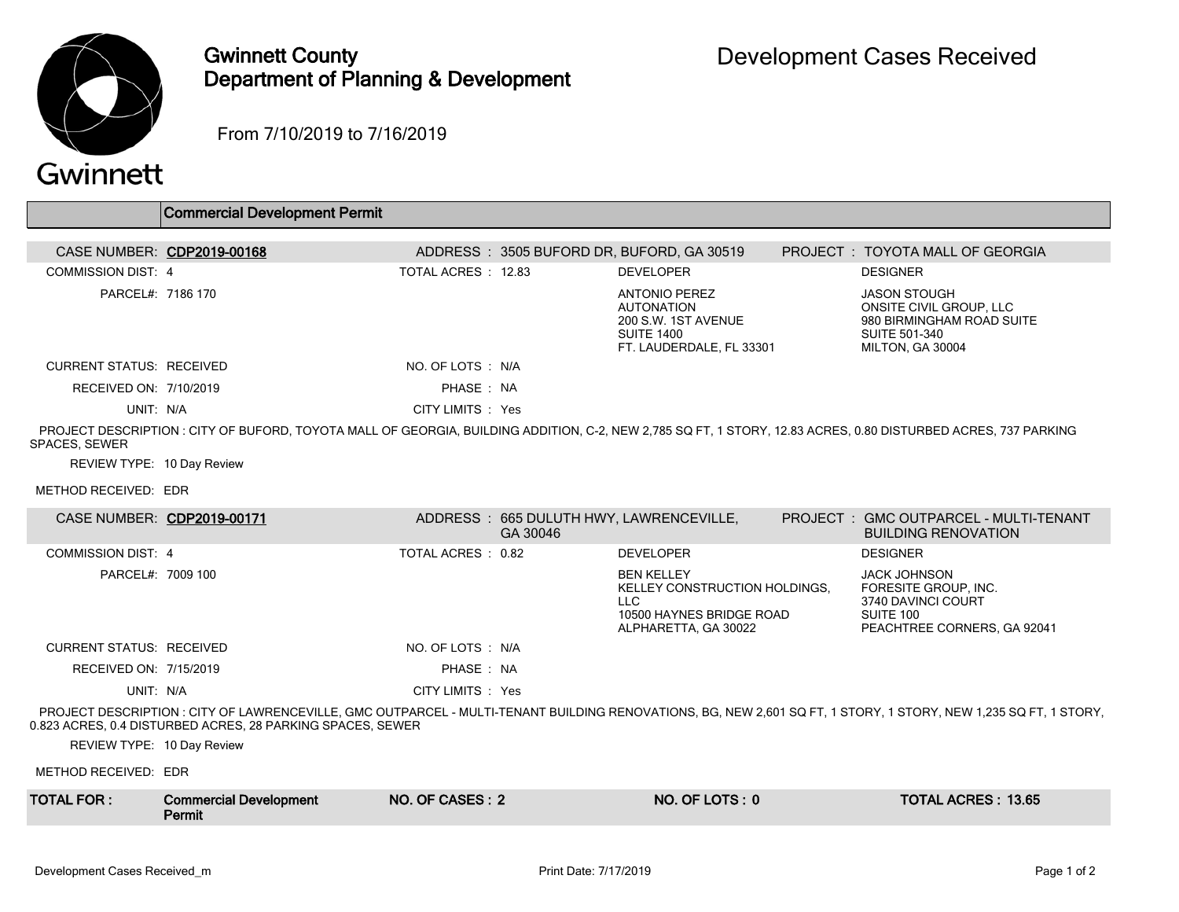

## Gwinnett County Department of Planning & Development

From 7/10/2019 to 7/16/2019

|                                 | <b>Commercial Development Permit</b>                                                                                                                           |                    |          |                                                                                                                   |                                                                                                                                                                  |
|---------------------------------|----------------------------------------------------------------------------------------------------------------------------------------------------------------|--------------------|----------|-------------------------------------------------------------------------------------------------------------------|------------------------------------------------------------------------------------------------------------------------------------------------------------------|
|                                 | CASE NUMBER: CDP2019-00168                                                                                                                                     |                    |          | ADDRESS: 3505 BUFORD DR, BUFORD, GA 30519                                                                         | PROJECT: TOYOTA MALL OF GEORGIA                                                                                                                                  |
| COMMISSION DIST: 4              |                                                                                                                                                                | TOTAL ACRES: 12.83 |          | <b>DEVELOPER</b>                                                                                                  | <b>DESIGNER</b>                                                                                                                                                  |
| PARCEL#: 7186 170               |                                                                                                                                                                |                    |          | <b>ANTONIO PEREZ</b><br><b>AUTONATION</b><br>200 S.W. 1ST AVENUE<br><b>SUITE 1400</b><br>FT. LAUDERDALE, FL 33301 | <b>JASON STOUGH</b><br>ONSITE CIVIL GROUP, LLC<br>980 BIRMINGHAM ROAD SUITE<br><b>SUITE 501-340</b><br>MILTON, GA 30004                                          |
| <b>CURRENT STATUS: RECEIVED</b> |                                                                                                                                                                | NO. OF LOTS : N/A  |          |                                                                                                                   |                                                                                                                                                                  |
| RECEIVED ON: 7/10/2019          |                                                                                                                                                                | PHASE: NA          |          |                                                                                                                   |                                                                                                                                                                  |
| UNIT: N/A                       |                                                                                                                                                                | CITY LIMITS : Yes  |          |                                                                                                                   |                                                                                                                                                                  |
| SPACES, SEWER                   | PROJECT DESCRIPTION : CITY OF BUFORD, TOYOTA MALL OF GEORGIA, BUILDING ADDITION, C-2, NEW 2,785 SQ FT, 1 STORY, 12.83 ACRES, 0.80 DISTURBED ACRES, 737 PARKING |                    |          |                                                                                                                   |                                                                                                                                                                  |
| REVIEW TYPE: 10 Day Review      |                                                                                                                                                                |                    |          |                                                                                                                   |                                                                                                                                                                  |
| METHOD RECEIVED: EDR            |                                                                                                                                                                |                    |          |                                                                                                                   |                                                                                                                                                                  |
|                                 | CASE NUMBER: CDP2019-00171                                                                                                                                     |                    | GA 30046 | ADDRESS: 665 DULUTH HWY, LAWRENCEVILLE,                                                                           | PROJECT: GMC OUTPARCEL - MULTI-TENANT<br><b>BUILDING RENOVATION</b>                                                                                              |
| <b>COMMISSION DIST: 4</b>       |                                                                                                                                                                | TOTAL ACRES: 0.82  |          | <b>DEVELOPER</b>                                                                                                  | <b>DESIGNER</b>                                                                                                                                                  |
| PARCEL#: 7009 100               |                                                                                                                                                                |                    |          | <b>BEN KELLEY</b><br>KELLEY CONSTRUCTION HOLDINGS.<br>LLC.<br>10500 HAYNES BRIDGE ROAD<br>ALPHARETTA, GA 30022    | <b>JACK JOHNSON</b><br>FORESITE GROUP, INC.<br>3740 DAVINCI COURT<br>SUITE 100<br>PEACHTREE CORNERS, GA 92041                                                    |
| <b>CURRENT STATUS: RECEIVED</b> |                                                                                                                                                                | NO. OF LOTS : N/A  |          |                                                                                                                   |                                                                                                                                                                  |
| RECEIVED ON: 7/15/2019          |                                                                                                                                                                | PHASE: NA          |          |                                                                                                                   |                                                                                                                                                                  |
| UNIT: N/A                       |                                                                                                                                                                | CITY LIMITS Yes    |          |                                                                                                                   |                                                                                                                                                                  |
|                                 | 0.823 ACRES, 0.4 DISTURBED ACRES, 28 PARKING SPACES, SEWER                                                                                                     |                    |          |                                                                                                                   | PROJECT DESCRIPTION : CITY OF LAWRENCEVILLE, GMC OUTPARCEL - MULTI-TENANT BUILDING RENOVATIONS, BG, NEW 2.601 SQ FT, 1 STORY, 1 STORY, NEW 1.235 SQ FT, 1 STORY, |
| REVIEW TYPE: 10 Day Review      |                                                                                                                                                                |                    |          |                                                                                                                   |                                                                                                                                                                  |
| METHOD RECEIVED: EDR            |                                                                                                                                                                |                    |          |                                                                                                                   |                                                                                                                                                                  |
| <b>TOTAL FOR:</b>               | <b>Commercial Development</b><br>Permit                                                                                                                        | NO. OF CASES: 2    |          | NO. OF LOTS: 0                                                                                                    | <b>TOTAL ACRES: 13.65</b>                                                                                                                                        |